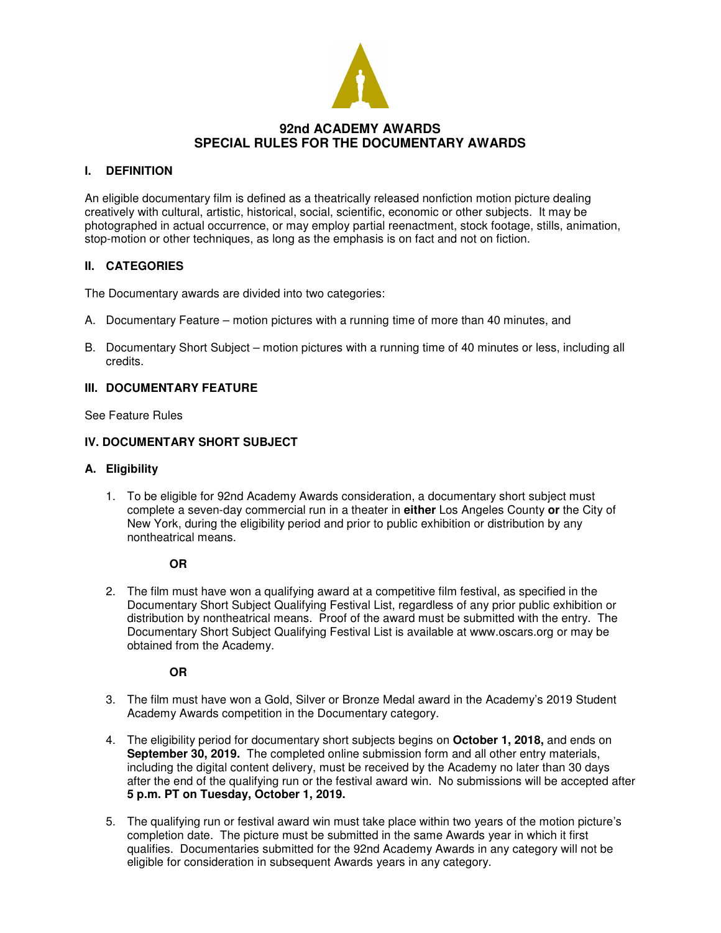

# **92nd ACADEMY AWARDS SPECIAL RULES FOR THE DOCUMENTARY AWARDS**

### **I. DEFINITION**

An eligible documentary film is defined as a theatrically released nonfiction motion picture dealing creatively with cultural, artistic, historical, social, scientific, economic or other subjects. It may be photographed in actual occurrence, or may employ partial reenactment, stock footage, stills, animation, stop-motion or other techniques, as long as the emphasis is on fact and not on fiction.

# **II. CATEGORIES**

The Documentary awards are divided into two categories:

- A. Documentary Feature motion pictures with a running time of more than 40 minutes, and
- B. Documentary Short Subject motion pictures with a running time of 40 minutes or less, including all credits.

## **III. DOCUMENTARY FEATURE**

See Feature Rules

### **IV. DOCUMENTARY SHORT SUBJECT**

#### **A. Eligibility**

1. To be eligible for 92nd Academy Awards consideration, a documentary short subject must complete a seven-day commercial run in a theater in **either** Los Angeles County **or** the City of New York, during the eligibility period and prior to public exhibition or distribution by any nontheatrical means.

#### **OR**

2. The film must have won a qualifying award at a competitive film festival, as specified in the Documentary Short Subject Qualifying Festival List, regardless of any prior public exhibition or distribution by nontheatrical means. Proof of the award must be submitted with the entry. The Documentary Short Subject Qualifying Festival List is available at www.oscars.org or may be obtained from the Academy.

**OR**

- 3. The film must have won a Gold, Silver or Bronze Medal award in the Academy's 2019 Student Academy Awards competition in the Documentary category.
- 4. The eligibility period for documentary short subjects begins on **October 1, 2018,** and ends on **September 30, 2019.** The completed online submission form and all other entry materials, including the digital content delivery, must be received by the Academy no later than 30 days after the end of the qualifying run or the festival award win. No submissions will be accepted after **5 p.m. PT on Tuesday, October 1, 2019.**
- 5. The qualifying run or festival award win must take place within two years of the motion picture's completion date. The picture must be submitted in the same Awards year in which it first qualifies. Documentaries submitted for the 92nd Academy Awards in any category will not be eligible for consideration in subsequent Awards years in any category.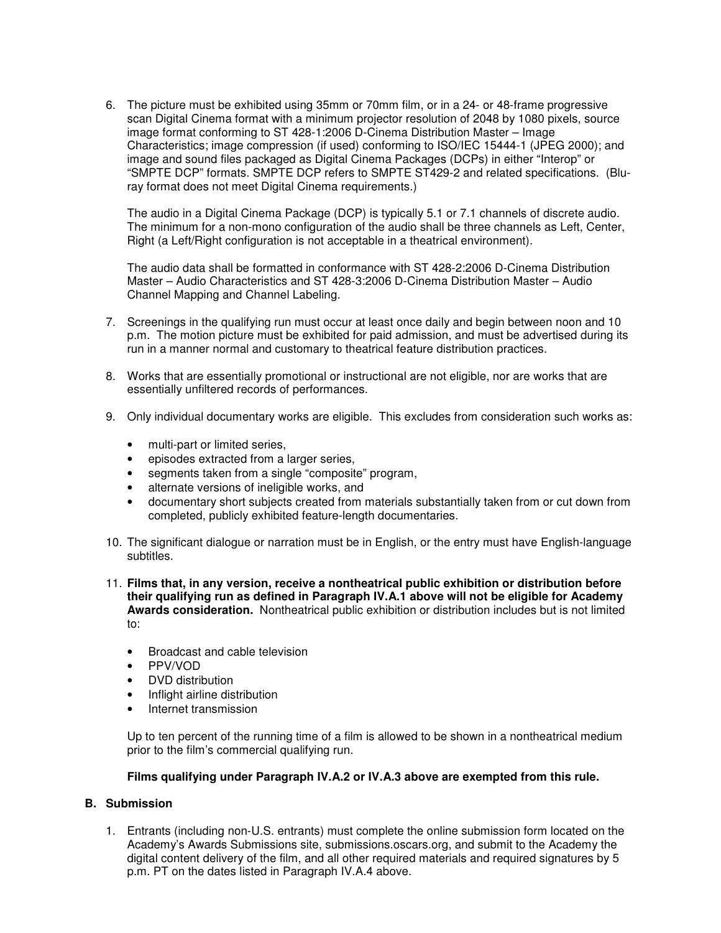6. The picture must be exhibited using 35mm or 70mm film, or in a 24- or 48-frame progressive scan Digital Cinema format with a minimum projector resolution of 2048 by 1080 pixels, source image format conforming to ST 428-1:2006 D-Cinema Distribution Master – Image Characteristics; image compression (if used) conforming to ISO/IEC 15444-1 (JPEG 2000); and image and sound files packaged as Digital Cinema Packages (DCPs) in either "Interop" or "SMPTE DCP" formats. SMPTE DCP refers to SMPTE ST429-2 and related specifications. (Bluray format does not meet Digital Cinema requirements.)

The audio in a Digital Cinema Package (DCP) is typically 5.1 or 7.1 channels of discrete audio. The minimum for a non-mono configuration of the audio shall be three channels as Left, Center, Right (a Left/Right configuration is not acceptable in a theatrical environment).

The audio data shall be formatted in conformance with ST 428-2:2006 D-Cinema Distribution Master – Audio Characteristics and ST 428-3:2006 D-Cinema Distribution Master – Audio Channel Mapping and Channel Labeling.

- 7. Screenings in the qualifying run must occur at least once daily and begin between noon and 10 p.m. The motion picture must be exhibited for paid admission, and must be advertised during its run in a manner normal and customary to theatrical feature distribution practices.
- 8. Works that are essentially promotional or instructional are not eligible, nor are works that are essentially unfiltered records of performances.
- 9. Only individual documentary works are eligible. This excludes from consideration such works as:
	- multi-part or limited series,
	- episodes extracted from a larger series,
	- segments taken from a single "composite" program,
	- alternate versions of ineligible works, and
	- documentary short subjects created from materials substantially taken from or cut down from completed, publicly exhibited feature-length documentaries.
- 10. The significant dialogue or narration must be in English, or the entry must have English-language subtitles.
- 11. **Films that, in any version, receive a nontheatrical public exhibition or distribution before their qualifying run as defined in Paragraph IV.A.1 above will not be eligible for Academy Awards consideration.** Nontheatrical public exhibition or distribution includes but is not limited to:
	- Broadcast and cable television
	- PPV/VOD
	- DVD distribution
	- Inflight airline distribution
	- Internet transmission

Up to ten percent of the running time of a film is allowed to be shown in a nontheatrical medium prior to the film's commercial qualifying run.

#### **Films qualifying under Paragraph IV.A.2 or IV.A.3 above are exempted from this rule.**

## **B. Submission**

1. Entrants (including non-U.S. entrants) must complete the online submission form located on the Academy's Awards Submissions site, submissions.oscars.org, and submit to the Academy the digital content delivery of the film, and all other required materials and required signatures by 5 p.m. PT on the dates listed in Paragraph IV.A.4 above.